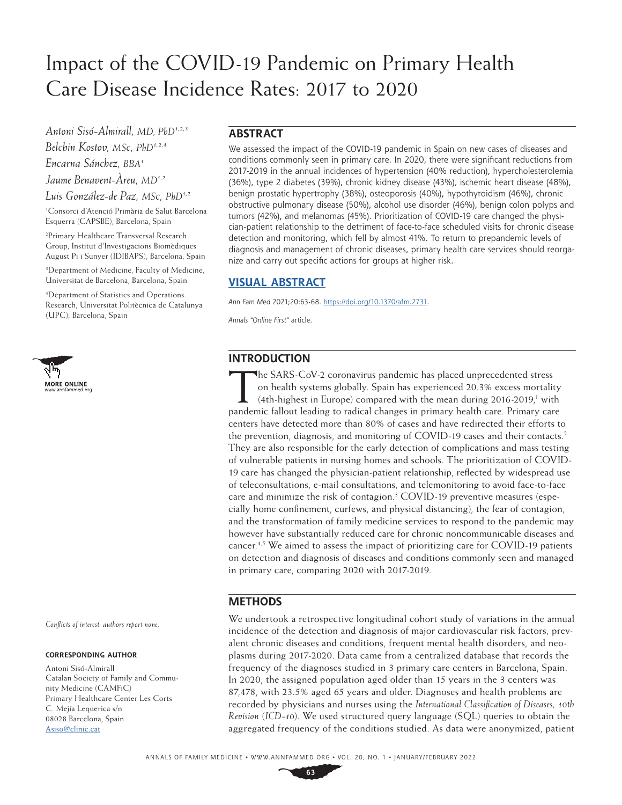# Impact of the COVID-19 Pandemic on Primary Health Care Disease Incidence Rates: 2017 to 2020

*Antoni Sisó-Almirall, MD, PhD1,2,3 Belchin Kostov, MSc, PhD1,2,4 Encarna Sánchez, BBA1 Jaume Benavent-Àreu, MD1,2 Luis González-de Paz, MSc, PhD1,2*

1 Consorci d'Atenció Primària de Salut Barcelona Esquerra (CAPSBE), Barcelona, Spain

2 Primary Healthcare Transversal Research Group, Institut d'Investigacions Biomèdiques August Pi i Sunyer (IDIBAPS), Barcelona, Spain

3 Department of Medicine, Faculty of Medicine, Universitat de Barcelona, Barcelona, Spain

4 Department of Statistics and Operations Research, Universitat Politècnica de Catalunya (UPC), Barcelona, Spain



*Conflicts of interest: authors report none.*

#### **CORRESPONDING AUTHOR**

Antoni Sisó-Almirall Catalan Society of Family and Community Medicine (CAMFiC) Primary Healthcare Center Les Corts C. Mejía Lequerica s/n 08028 Barcelona, Spain [Asiso@clinic.cat](mailto:Asiso%40clinic.cat?subject=)

## **ABSTRACT**

We assessed the impact of the COVID-19 pandemic in Spain on new cases of diseases and conditions commonly seen in primary care. In 2020, there were significant reductions from 2017-2019 in the annual incidences of hypertension (40% reduction), hypercholesterolemia (36%), type 2 diabetes (39%), chronic kidney disease (43%), ischemic heart disease (48%), benign prostatic hypertrophy (38%), osteoporosis (40%), hypothyroidism (46%), chronic obstructive pulmonary disease (50%), alcohol use disorder (46%), benign colon polyps and tumors (42%), and melanomas (45%). Prioritization of COVID-19 care changed the physician-patient relationship to the detriment of face-to-face scheduled visits for chronic disease detection and monitoring, which fell by almost 41%. To return to prepandemic levels of diagnosis and management of chronic diseases, primary health care services should reorganize and carry out specific actions for groups at higher risk.

## **[VISUAL ABSTRACT](https://www.AnnFamMed.org/lookup/suppl/doi:10.1370/afm.2731/-/DC2)**

*Ann Fam Med* 2021;20:63-68. [https://doi.org/10.1370/afm.2731.](https://doi.org/10.1370/afm.2731)

*Annals "Online First"* article.

# **INTRODUCTION**

The SARS-CoV-2 coronavirus pandemic has placed unprecedented stress<br>on health systems globally. Spain has experienced 20.3% excess mortalit<br>(4th-highest in Europe) compared with the mean during 2016-2019,<sup>1</sup> with on health systems globally. Spain has experienced 20.3% excess mortality (4th-highest in Europe) compared with the mean during  $2016-2019$ ,<sup>1</sup> with pandemic fallout leading to radical changes in primary health care. Primary care centers have detected more than 80% of cases and have redirected their efforts to the prevention, diagnosis, and monitoring of COVID-19 cases and their contacts.<sup>2</sup> They are also responsible for the early detection of complications and mass testing of vulnerable patients in nursing homes and schools. The prioritization of COVID-19 care has changed the physician-patient relationship, reflected by widespread use of teleconsultations, e-mail consultations, and telemonitoring to avoid face-to-face care and minimize the risk of contagion.<sup>3</sup> COVID-19 preventive measures (especially home confinement, curfews, and physical distancing), the fear of contagion, and the transformation of family medicine services to respond to the pandemic may however have substantially reduced care for chronic noncommunicable diseases and cancer.4,5 We aimed to assess the impact of prioritizing care for COVID-19 patients on detection and diagnosis of diseases and conditions commonly seen and managed in primary care, comparing 2020 with 2017-2019.

### **METHODS**

We undertook a retrospective longitudinal cohort study of variations in the annual incidence of the detection and diagnosis of major cardiovascular risk factors, prevalent chronic diseases and conditions, frequent mental health disorders, and neoplasms during 2017-2020. Data came from a centralized database that records the frequency of the diagnoses studied in 3 primary care centers in Barcelona, Spain. In 2020, the assigned population aged older than 15 years in the 3 centers was 87,478, with 23.5% aged 65 years and older. Diagnoses and health problems are recorded by physicians and nurses using the *International Classification of Diseases, 10th Revision* (*ICD-10*). We used structured query language (SQL) queries to obtain the aggregated frequency of the conditions studied. As data were anonymized, patient

**63**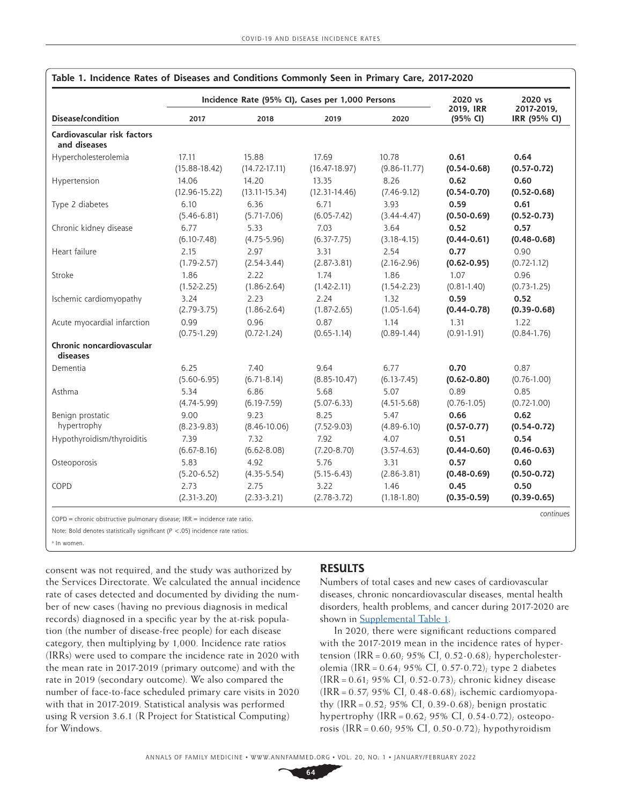|                                             |                   | Incidence Rate (95% CI), Cases per 1,000 Persons | 2020 vs<br>2019, IRR | 2020 vs          |                 |                            |  |
|---------------------------------------------|-------------------|--------------------------------------------------|----------------------|------------------|-----------------|----------------------------|--|
| <b>Disease/condition</b>                    | 2017              | 2018                                             | 2019                 | 2020             | (95% CI)        | 2017-2019,<br>IRR (95% CI) |  |
| Cardiovascular risk factors<br>and diseases |                   |                                                  |                      |                  |                 |                            |  |
| Hypercholesterolemia                        | 17.11             | 15.88                                            | 17.69                | 10.78            | 0.61            | 0.64                       |  |
|                                             | $(15.88 - 18.42)$ | $(14.72 - 17.11)$                                | $(16.47 - 18.97)$    | $(9.86 - 11.77)$ | $(0.54 - 0.68)$ | $(0.57 - 0.72)$            |  |
| Hypertension                                | 14.06             | 14.20                                            | 13.35                | 8.26             | 0.62            | 0.60                       |  |
|                                             | $(12.96 - 15.22)$ | $(13.11 - 15.34)$                                | $(12.31 - 14.46)$    | $(7.46 - 9.12)$  | $(0.54 - 0.70)$ | $(0.52 - 0.68)$            |  |
| Type 2 diabetes                             | 6.10              | 6.36                                             | 6.71                 | 3.93             | 0.59            | 0.61                       |  |
|                                             | $(5.46 - 6.81)$   | $(5.71 - 7.06)$                                  | $(6.05 - 7.42)$      | $(3.44 - 4.47)$  | $(0.50 - 0.69)$ | $(0.52 - 0.73)$            |  |
| Chronic kidney disease                      | 6.77              | 5.33                                             | 7.03                 | 3.64             | 0.52            | 0.57                       |  |
|                                             | $(6.10 - 7.48)$   | $(4.75 - 5.96)$                                  | $(6.37 - 7.75)$      | $(3.18 - 4.15)$  | $(0.44 - 0.61)$ | $(0.48 - 0.68)$            |  |
| Heart failure                               | 2.15              | 2.97                                             | 3.31                 | 2.54             | 0.77            | 0.90                       |  |
|                                             | $(1.79 - 2.57)$   | $(2.54-3.44)$                                    | $(2.87 - 3.81)$      | $(2.16 - 2.96)$  | $(0.62 - 0.95)$ | $(0.72 - 1.12)$            |  |
| Stroke                                      | 1.86              | 2.22                                             | 1.74                 | 1.86             | 1.07            | 0.96                       |  |
|                                             | $(1.52 - 2.25)$   | $(1.86 - 2.64)$                                  | $(1.42 - 2.11)$      | $(1.54 - 2.23)$  | $(0.81 - 1.40)$ | $(0.73 - 1.25)$            |  |
| Ischemic cardiomyopathy                     | 3.24              | 2.23                                             | 2.24                 | 1.32             | 0.59            | 0.52                       |  |
|                                             | $(2.79 - 3.75)$   | $(1.86 - 2.64)$                                  | $(1.87 - 2.65)$      | $(1.05 - 1.64)$  | $(0.44 - 0.78)$ | $(0.39 - 0.68)$            |  |
| Acute myocardial infarction                 | 0.99              | 0.96                                             | 0.87                 | 1.14             | 1.31            | 1.22                       |  |
|                                             | $(0.75 - 1.29)$   | $(0.72 - 1.24)$                                  | $(0.65 - 1.14)$      | $(0.89 - 1.44)$  | $(0.91 - 1.91)$ | $(0.84 - 1.76)$            |  |
| Chronic noncardiovascular<br>diseases       |                   |                                                  |                      |                  |                 |                            |  |
| Dementia                                    | 6.25              | 7.40                                             | 9.64                 | 6.77             | 0.70            | 0.87                       |  |
|                                             | $(5.60 - 6.95)$   | $(6.71 - 8.14)$                                  | $(8.85 - 10.47)$     | $(6.13 - 7.45)$  | $(0.62 - 0.80)$ | $(0.76 - 1.00)$            |  |
| Asthma                                      | 5.34              | 6.86                                             | 5.68                 | 5.07             | 0.89            | 0.85                       |  |
|                                             | $(4.74 - 5.99)$   | $(6.19 - 7.59)$                                  | $(5.07-6.33)$        | $(4.51 - 5.68)$  | $(0.76 - 1.05)$ | $(0.72 - 1.00)$            |  |
| Benign prostatic                            | 9.00              | 9.23                                             | 8.25                 | 5.47             | 0.66            | 0.62                       |  |
| hypertrophy                                 | $(8.23 - 9.83)$   | $(8.46 - 10.06)$                                 | $(7.52-9.03)$        | $(4.89 - 6.10)$  | $(0.57 - 0.77)$ | $(0.54 - 0.72)$            |  |
| Hypothyroidism/thyroiditis                  | 7.39              | 7.32                                             | 7.92                 | 4.07             | 0.51            | 0.54                       |  |
|                                             | $(6.67 - 8.16)$   | $(6.62 - 8.08)$                                  | $(7.20 - 8.70)$      | $(3.57 - 4.63)$  | $(0.44 - 0.60)$ | $(0.46 - 0.63)$            |  |
| Osteoporosis                                | 5.83              | 4.92                                             | 5.76                 | 3.31             | 0.57            | 0.60                       |  |
|                                             | $(5.20 - 6.52)$   | $(4.35 - 5.54)$                                  | $(5.15 - 6.43)$      | $(2.86 - 3.81)$  | $(0.48 - 0.69)$ | $(0.50 - 0.72)$            |  |
| COPD                                        | 2.73              | 2.75                                             | 3.22                 | 1.46             | 0.45            | 0.50                       |  |
|                                             | $(2.31-3.20)$     | $(2.33 - 3.21)$                                  | $(2.78 - 3.72)$      | $(1.18 - 1.80)$  | $(0.35 - 0.59)$ | $(0.39 - 0.65)$            |  |

|  |  |  | Table 1. Incidence Rates of Diseases and Conditions Commonly Seen in Primary Care, 2017-2020 |  |  |  |  |  |  |
|--|--|--|----------------------------------------------------------------------------------------------|--|--|--|--|--|--|
|--|--|--|----------------------------------------------------------------------------------------------|--|--|--|--|--|--|

*continues* COPD=chronic obstructive pulmonary disease; IRR=incidence rate ratio.

Note: Bold denotes statistically significant (*P* <.05) incidence rate ratios.

a In women.

consent was not required, and the study was authorized by the Services Directorate. We calculated the annual incidence rate of cases detected and documented by dividing the number of new cases (having no previous diagnosis in medical records) diagnosed in a specific year by the at-risk population (the number of disease-free people) for each disease category, then multiplying by 1,000. Incidence rate ratios (IRRs) were used to compare the incidence rate in 2020 with the mean rate in 2017-2019 (primary outcome) and with the rate in 2019 (secondary outcome). We also compared the number of face-to-face scheduled primary care visits in 2020 with that in 2017-2019. Statistical analysis was performed using R version 3.6.1 (R Project for Statistical Computing) for Windows.

## **RESULTS**

Numbers of total cases and new cases of cardiovascular diseases, chronic noncardiovascular diseases, mental health disorders, health problems, and cancer during 2017-2020 are shown in **Supplemental Table 1**.

In 2020, there were significant reductions compared with the 2017-2019 mean in the incidence rates of hypertension (IRR =  $0.60$ ; 95% CI, 0.52-0.68); hypercholesterolemia (IRR = 0.64; 95% CI, 0.57-0.72); type 2 diabetes (IRR = 0.61; 95% CI, 0.52-0.73); chronic kidney disease (IRR = 0.57; 95% CI, 0.48-0.68); ischemic cardiomyopathy (IRR =  $0.52$ ; 95% CI, 0.39-0.68); benign prostatic hypertrophy (IRR =  $0.62$ ; 95% CI, 0.54-0.72); osteoporosis (IRR =  $0.60$ ; 95% CI, 0.50-0.72); hypothyroidism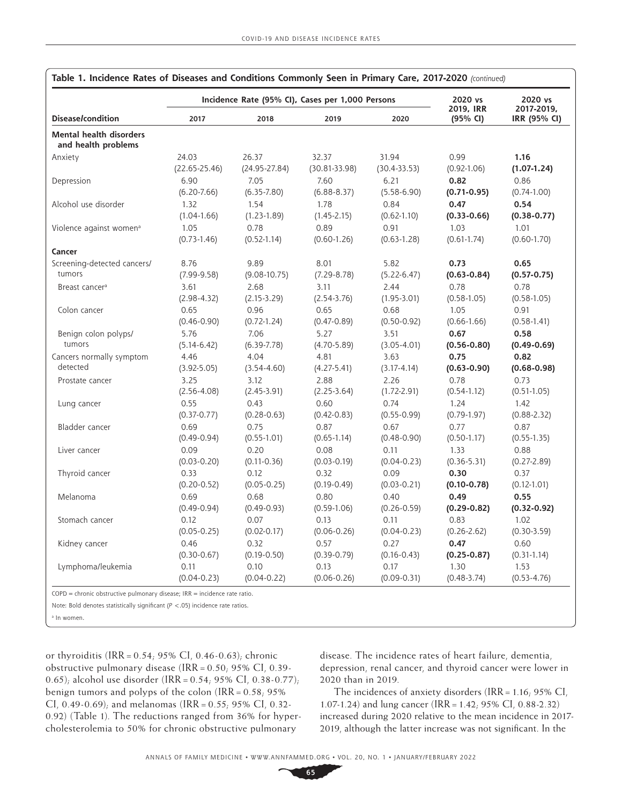|                                                       |                   |                   | Incidence Rate (95% CI), Cases per 1,000 Persons |                  | 2020 vs<br>2019, IRR<br>(95% CI) | 2020 vs                    |
|-------------------------------------------------------|-------------------|-------------------|--------------------------------------------------|------------------|----------------------------------|----------------------------|
| <b>Disease/condition</b>                              | 2017              | 2018              | 2019                                             | 2020             |                                  | 2017-2019,<br>IRR (95% CI) |
| <b>Mental health disorders</b><br>and health problems |                   |                   |                                                  |                  |                                  |                            |
| Anxiety                                               | 24.03             | 26.37             | 32.37                                            | 31.94            | 0.99                             | 1.16                       |
|                                                       | $(22.65 - 25.46)$ | $(24.95 - 27.84)$ | $(30.81 - 33.98)$                                | $(30.4 - 33.53)$ | $(0.92 - 1.06)$                  | $(1.07 - 1.24)$            |
| Depression                                            | 6.90              | 7.05              | 7.60                                             | 6.21             | 0.82                             | 0.86                       |
|                                                       | $(6.20 - 7.66)$   | $(6.35 - 7.80)$   | $(6.88 - 8.37)$                                  | $(5.58 - 6.90)$  | $(0.71 - 0.95)$                  | $(0.74 - 1.00)$            |
| Alcohol use disorder                                  | 1.32              | 1.54              | 1.78                                             | 0.84             | 0.47                             | 0.54                       |
|                                                       | $(1.04-1.66)$     | $(1.23 - 1.89)$   | $(1.45 - 2.15)$                                  | $(0.62 - 1.10)$  | $(0.33 - 0.66)$                  | $(0.38 - 0.77)$            |
| Violence against women <sup>a</sup>                   | 1.05              | 0.78              | 0.89                                             | 0.91             | 1.03                             | 1.01                       |
|                                                       | $(0.73 - 1.46)$   | $(0.52 - 1.14)$   | $(0.60 - 1.26)$                                  | $(0.63 - 1.28)$  | $(0.61 - 1.74)$                  | $(0.60 - 1.70)$            |
| Cancer                                                |                   |                   |                                                  |                  |                                  |                            |
| Screening-detected cancers/                           | 8.76              | 9.89              | 8.01                                             | 5.82             | 0.73                             | 0.65                       |
| tumors                                                | $(7.99-9.58)$     | $(9.08-10.75)$    | $(7.29 - 8.78)$                                  | $(5.22 - 6.47)$  | $(0.63 - 0.84)$                  | $(0.57 - 0.75)$            |
| Breast cancer <sup>a</sup>                            | 3.61              | 2.68              | 3.11                                             | 2.44             | 0.78                             | 0.78                       |
|                                                       | $(2.98 - 4.32)$   | $(2.15-3.29)$     | $(2.54 - 3.76)$                                  | $(1.95 - 3.01)$  | $(0.58 - 1.05)$                  | $(0.58 - 1.05)$            |
| Colon cancer                                          | 0.65              | 0.96              | 0.65                                             | 0.68             | 1.05                             | 0.91                       |
|                                                       | $(0.46 - 0.90)$   | $(0.72 - 1.24)$   | $(0.47 - 0.89)$                                  | $(0.50 - 0.92)$  | $(0.66 - 1.66)$                  | $(0.58 - 1.41)$            |
| Benign colon polyps/                                  | 5.76              | 7.06              | 5.27                                             | 3.51             | 0.67                             | 0.58                       |
| tumors                                                | $(5.14 - 6.42)$   | $(6.39 - 7.78)$   | $(4.70 - 5.89)$                                  | $(3.05 - 4.01)$  | $(0.56 - 0.80)$                  | $(0.49 - 0.69)$            |
| Cancers normally symptom                              | 4.46              | 4.04              | 4.81                                             | 3.63             | 0.75                             | 0.82                       |
| detected                                              | $(3.92 - 5.05)$   | $(3.54 - 4.60)$   | $(4.27 - 5.41)$                                  | $(3.17 - 4.14)$  | $(0.63 - 0.90)$                  | $(0.68 - 0.98)$            |
| Prostate cancer                                       | 3.25              | 3.12              | 2.88                                             | 2.26             | 0.78                             | 0.73                       |
|                                                       | $(2.56 - 4.08)$   | $(2.45-3.91)$     | $(2.25-3.64)$                                    | $(1.72 - 2.91)$  | $(0.54 - 1.12)$                  | $(0.51 - 1.05)$            |
| Lung cancer                                           | 0.55              | 0.43              | 0.60                                             | 0.74             | 1.24                             | 1.42                       |
|                                                       | $(0.37 - 0.77)$   | $(0.28 - 0.63)$   | $(0.42 - 0.83)$                                  | $(0.55 - 0.99)$  | $(0.79 - 1.97)$                  | $(0.88 - 2.32)$            |
| Bladder cancer                                        | 0.69              | 0.75              | 0.87                                             | 0.67             | 0.77                             | 0.87                       |
|                                                       | $(0.49 - 0.94)$   | $(0.55 - 1.01)$   | $(0.65 - 1.14)$                                  | $(0.48 - 0.90)$  | $(0.50 - 1.17)$                  | $(0.55 - 1.35)$            |
| Liver cancer                                          | 0.09              | 0.20              | 0.08                                             | 0.11             | 1.33                             | 0.88                       |
|                                                       | $(0.03 - 0.20)$   | $(0.11 - 0.36)$   | $(0.03 - 0.19)$                                  | $(0.04 - 0.23)$  | $(0.36 - 5.31)$                  | $(0.27 - 2.89)$            |
| Thyroid cancer                                        | 0.33              | 0.12              | 0.32                                             | 0.09             | 0.30                             | 0.37                       |
|                                                       | $(0.20 - 0.52)$   | $(0.05 - 0.25)$   | $(0.19 - 0.49)$                                  | $(0.03 - 0.21)$  | $(0.10 - 0.78)$                  | $(0.12 - 1.01)$            |
| Melanoma                                              | 0.69              | 0.68              | 0.80                                             | 0.40             | 0.49                             | 0.55                       |
|                                                       | $(0.49 - 0.94)$   | $(0.49 - 0.93)$   | $(0.59 - 1.06)$                                  | $(0.26 - 0.59)$  | $(0.29 - 0.82)$                  | $(0.32 - 0.92)$            |
| Stomach cancer                                        | 0.12              | 0.07              | 0.13                                             | 0.11             | 0.83                             | 1.02                       |
|                                                       | $(0.05 - 0.25)$   | $(0.02 - 0.17)$   | $(0.06 - 0.26)$                                  | $(0.04 - 0.23)$  | $(0.26 - 2.62)$                  | $(0.30 - 3.59)$            |
| Kidney cancer                                         | 0.46              | 0.32              | 0.57                                             | 0.27             | 0.47                             | 0.60                       |
|                                                       | $(0.30 - 0.67)$   | $(0.19 - 0.50)$   | $(0.39 - 0.79)$                                  | $(0.16 - 0.43)$  | $(0.25 - 0.87)$                  | $(0.31 - 1.14)$            |
| Lymphoma/leukemia                                     | 0.11              | 0.10              | 0.13                                             | 0.17             | 1.30                             | 1.53                       |
|                                                       | $(0.04 - 0.23)$   | $(0.04 - 0.22)$   | $(0.06 - 0.26)$                                  | $(0.09 - 0.31)$  | $(0.48 - 3.74)$                  | $(0.53 - 4.76)$            |

| Table 1. Incidence Rates of Diseases and Conditions Commonly Seen in Primary Care, 2017-2020 (continued) |  |  |  |
|----------------------------------------------------------------------------------------------------------|--|--|--|
|----------------------------------------------------------------------------------------------------------|--|--|--|

Note: Bold denotes statistically significant (*P* <.05) incidence rate ratios.

a In women.

or thyroiditis (IRR = 0.54; 95% CI, 0.46-0.63); chronic obstructive pulmonary disease (IRR =  $0.50$ ; 95% CI, 0.39-0.65); alcohol use disorder (IRR =  $0.54$ ; 95% CI, 0.38-0.77); benign tumors and polyps of the colon (IRR = 0.58; 95% CI, 0.49-0.69); and melanomas (IRR =  $0.55$ ; 95% CI, 0.32-0.92) (Table 1). The reductions ranged from 36% for hypercholesterolemia to 50% for chronic obstructive pulmonary

disease. The incidence rates of heart failure, dementia, depression, renal cancer, and thyroid cancer were lower in 2020 than in 2019.

The incidences of anxiety disorders (IRR =  $1.16$ ; 95% CI, 1.07-1.24) and lung cancer (IRR=1.42; 95% CI, 0.88-2.32) increased during 2020 relative to the mean incidence in 2017- 2019, although the latter increase was not significant. In the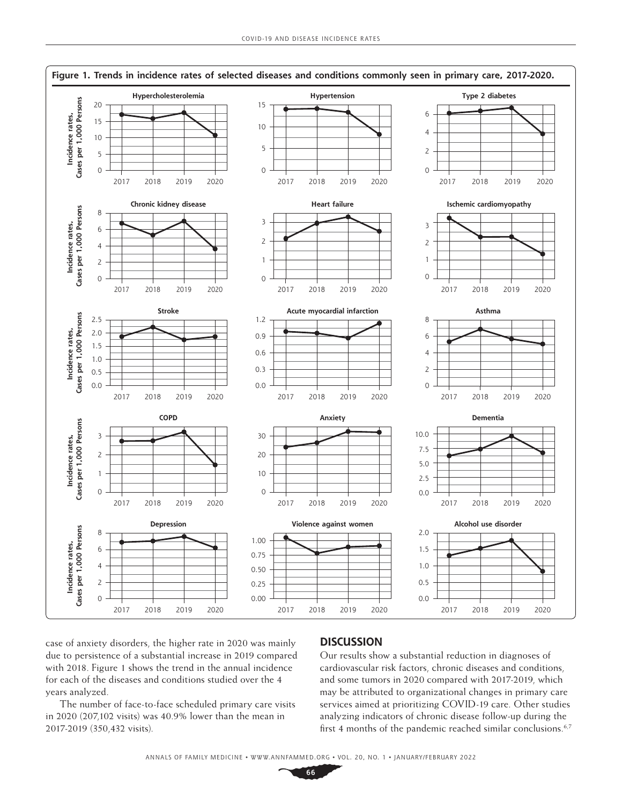

case of anxiety disorders, the higher rate in 2020 was mainly due to persistence of a substantial increase in 2019 compared with 2018. Figure 1 shows the trend in the annual incidence for each of the diseases and conditions studied over the 4 years analyzed.

The number of face-to-face scheduled primary care visits in 2020 (207,102 visits) was 40.9% lower than the mean in 2017-2019 (350,432 visits).

#### **DISCUSSION**

Our results show a substantial reduction in diagnoses of cardiovascular risk factors, chronic diseases and conditions, and some tumors in 2020 compared with 2017-2019, which may be attributed to organizational changes in primary care services aimed at prioritizing COVID-19 care. Other studies analyzing indicators of chronic disease follow-up during the first 4 months of the pandemic reached similar conclusions.<sup>6,7</sup>

ANNALS OF FAMILY MEDICINE ✦ WWW.ANNFAMMED.ORG ✦ VOL. 20, NO. 1 ✦ JANUARY/FEBRUARY 2022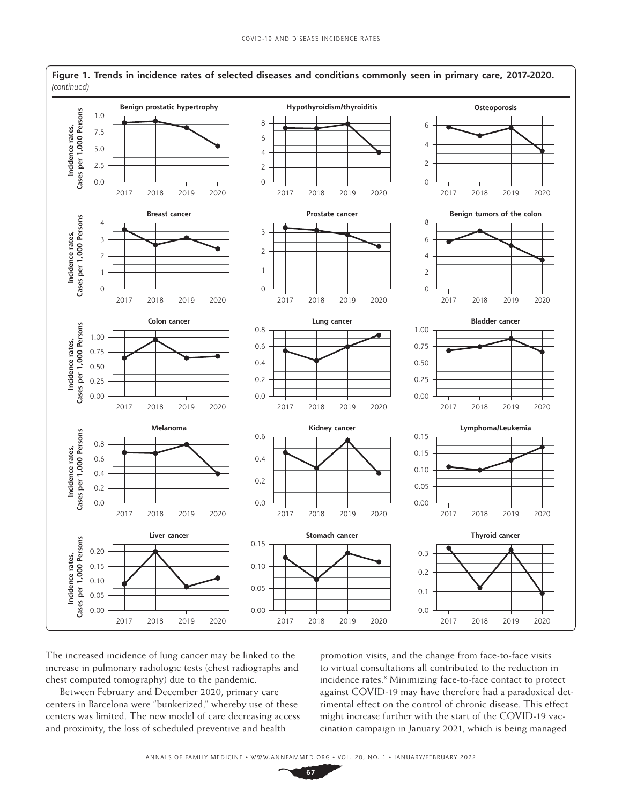

The increased incidence of lung cancer may be linked to the increase in pulmonary radiologic tests (chest radiographs and chest computed tomography) due to the pandemic.

Between February and December 2020, primary care centers in Barcelona were "bunkerized," whereby use of these centers was limited. The new model of care decreasing access and proximity, the loss of scheduled preventive and health

promotion visits, and the change from face-to-face visits to virtual consultations all contributed to the reduction in incidence rates.<sup>8</sup> Minimizing face-to-face contact to protect against COVID-19 may have therefore had a paradoxical detrimental effect on the control of chronic disease. This effect might increase further with the start of the COVID-19 vaccination campaign in January 2021, which is being managed

ANNALS OF FAMILY MEDICINE ✦ WWW.ANNFAMMED.ORG ✦ VOL. 20, NO. 1 ✦ JANUARY/FEBRUARY 2022

**67**